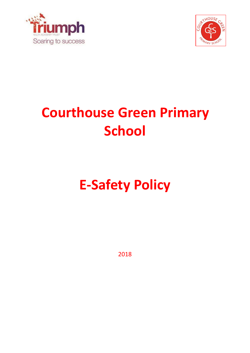



# **Courthouse Green Primary School**

# **E-Safety Policy**

2018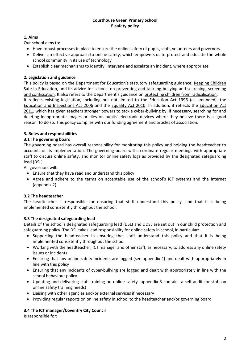#### **Courthouse Green Primary School E-safety policy**

### **1. Aims**

Our school aims to:

- Have robust processes in place to ensure the online safety of pupils, staff, volunteers and governors
- Deliver an effective approach to online safety, which empowers us to protect and educate the whole school community in its use of technology
- Establish clear mechanisms to identify, intervene and escalate an incident, where appropriate

#### **2. Legislation and guidance**

This policy is based on the Department for Education's statutory safeguarding guidance, Keeping Children [Safe in Education,](https://www.gov.uk/government/publications/keeping-children-safe-in-education--2) and its advice for schools on [preventing and tackling bullying](https://www.gov.uk/government/publications/preventing-and-tackling-bullying) and [searching, screening](https://www.gov.uk/government/publications/searching-screening-and-confiscation)  [and confiscation](https://www.gov.uk/government/publications/searching-screening-and-confiscation). It also refers to the Department's guidance on [protecting children from radicalisation.](https://www.gov.uk/government/publications/protecting-children-from-radicalisation-the-prevent-duty) It reflects existing legislation, including but not limited to the [Education Act 1996](https://www.legislation.gov.uk/ukpga/1996/56/contents) (as amended), the [Education and Inspections Act 2006](https://www.legislation.gov.uk/ukpga/2006/40/contents) and the [Equality Act 2010.](https://www.legislation.gov.uk/ukpga/2010/15/contents) In addition, it reflects the [Education Act](http://www.legislation.gov.uk/ukpga/2011/21/contents/enacted)  [2011,](http://www.legislation.gov.uk/ukpga/2011/21/contents/enacted) which has given teachers stronger powers to tackle cyber-bullying by, if necessary, searching for and deleting inappropriate images or files on pupils' electronic devices where they believe there is a 'good reason' to do so. This policy complies with our funding agreement and articles of association.

#### **3. Roles and responsibilities**

#### **3.1 The governing board**

The governing board has overall responsibility for monitoring this policy and holding the headteacher to account for its implementation. The governing board will co-ordinate regular meetings with appropriate staff to discuss online safety, and monitor online safety logs as provided by the designated safeguarding lead (DSL).

All governors will:

- Ensure that they have read and understand this policy
- Agree and adhere to the terms on acceptable use of the school's ICT systems and the internet (appendix 2)

#### **3.2 The headteacher**

The headteacher is responsible for ensuring that staff understand this policy, and that it is being implemented consistently throughout the school.

#### **3.3 The designated safeguarding lead**

Details of the school's designated safeguarding lead (DSL) and DDSL are set out in our child protection and safeguarding policy. The DSL takes lead responsibility for online safety in school, in particular:

- Supporting the headteacher in ensuring that staff understand this policy and that it is being implemented consistently throughout the school
- Working with the headteacher, ICT manager and other staff, as necessary, to address any online safety issues or incidents
- Ensuring that any online safety incidents are logged (see appendix 4) and dealt with appropriately in line with this policy
- Ensuring that any incidents of cyber-bullying are logged and dealt with appropriately in line with the school behaviour policy
- Updating and delivering staff training on online safety (appendix 3 contains a self-audit for staff on online safety training needs)
- Liaising with other agencies and/or external services if necessary
- Providing regular reports on online safety in school to the headteacher and/or governing board

#### **3.4 The ICT manager/Coventry City Council**

Is responsible for: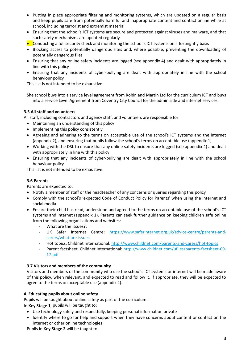- Putting in place appropriate filtering and monitoring systems, which are updated on a regular basis and keep pupils safe from potentially harmful and inappropriate content and contact online while at school, including terrorist and extremist material
- Ensuring that the school's ICT systems are secure and protected against viruses and malware, and that such safety mechanisms are updated regularly
- Conducting a full security check and monitoring the school's ICT systems on a fortnightly basis
- Blocking access to potentially dangerous sites and, where possible, preventing the downloading of potentially dangerous files
- Ensuring that any online safety incidents are logged (see appendix 4) and dealt with appropriately in line with this policy
- Ensuring that any incidents of cyber-bullying are dealt with appropriately in line with the school behaviour policy

This list is not intended to be exhaustive.

She school buys into a service level agreement from Robin and Martin Ltd for the curriculum ICT and buys into a service Level Agreement from Coventry City Council for the admin side and internet services.

#### **3.5 All staff and volunteers**

All staff, including contractors and agency staff, and volunteers are responsible for:

- Maintaining an understanding of this policy
- Implementing this policy consistently
- Agreeing and adhering to the terms on acceptable use of the school's ICT systems and the internet (appendix 2), and ensuring that pupils follow the school's terms on acceptable use (appendix 1)
- Working with the DSL to ensure that any online safety incidents are logged (see appendix 4) and dealt with appropriately in line with this policy
- Ensuring that any incidents of cyber-bullying are dealt with appropriately in line with the school behaviour policy

This list is not intended to be exhaustive.

#### **3.6 Parents**

Parents are expected to:

- Notify a member of staff or the headteacher of any concerns or queries regarding this policy
- Comply with the school's 'expected Code of Conduct Policy for Parents' when using the internet and social media
- Ensure their child has read, understood and agreed to the terms on acceptable use of the school's ICT systems and internet (appendix 1). Parents can seek further guidance on keeping children safe online from the following organisations and websites:
	- What are the issues?,
	- UK Safer Internet Centre: [https://www.saferinternet.org.uk/advice-centre/parents-and](https://www.saferinternet.org.uk/advice-centre/parents-and-carers/what-are-issues)[carers/what-are-issues](https://www.saferinternet.org.uk/advice-centre/parents-and-carers/what-are-issues)
	- Hot topics, Childnet International:<http://www.childnet.com/parents-and-carers/hot-topics>
	- Parent factsheet, Childnet International: [http://www.childnet.com/ufiles/parents-factsheet-09-](http://www.childnet.com/ufiles/parents-factsheet-09-17.pdf) [17.pdf](http://www.childnet.com/ufiles/parents-factsheet-09-17.pdf)

#### **3.7 Visitors and members of the community**

Visitors and members of the community who use the school's ICT systems or internet will be made aware of this policy, when relevant, and expected to read and follow it. If appropriate, they will be expected to agree to the terms on acceptable use (appendix 2).

#### **4. Educating pupils about online safety**

Pupils will be taught about online safety as part of the curriculum.

In **Key Stage 1**, pupils will be taught to:

- Use technology safely and respectfully, keeping personal information private
- Identify where to go for help and support when they have concerns about content or contact on the internet or other online technologies

Pupils in **Key Stage 2** will be taught to: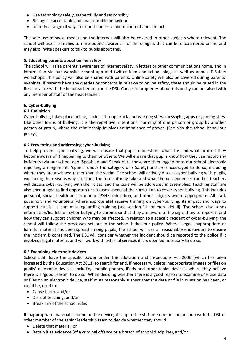- Use technology safely, respectfully and responsibly
- Recognise acceptable and unacceptable behaviour
- Identify a range of ways to report concerns about content and contact

The safe use of social media and the internet will also be covered in other subjects where relevant. The school will use assemblies to raise pupils' awareness of the dangers that can be encountered online and may also invite speakers to talk to pupils about this.

#### **5. Educating parents about online safety**

The school will raise parents' awareness of internet safety in letters or other communications home, and in information via our website, school app and twitter feed and school blogs as well as annual E-Safety workshops. This policy will also be shared with parents. Online safety will also be covered during parents' evenings. If parents have any queries or concerns in relation to online safety, these should be raised in the first instance with the headteacher and/or the DSL. Concerns or queries about this policy can be raised with any member of staff or the headteacher.

#### **6. Cyber-bullying**

#### **6.1 Definition**

Cyber-bullying takes place online, such as through social networking sites, messaging apps or gaming sites. Like other forms of bullying, it is the repetitive, intentional harming of one person or group by another person or group, where the relationship involves an imbalance of power. (See also the school behaviour policy.)

#### **6.2 Preventing and addressing cyber-bullying**

To help prevent cyber-bullying, we will ensure that pupils understand what it is and what to do if they become aware of it happening to them or others. We will ensure that pupils know how they can report any incidents (via our school app 'Speak up and Speak out', these are then logged onto our school electronic reporting arrangements 'cpoms' under the category of E-Safety) and are encouraged to do so, including where they are a witness rather than the victim. The school will actively discuss cyber-bullying with pupils, explaining the reasons why it occurs, the forms it may take and what the consequences can be. Teachers will discuss cyber-bullying with their class, and the issue will be addressed in assemblies. Teaching staff are also encouraged to find opportunities to use aspects of the curriculum to cover cyber-bullying. This includes personal, social, health and economic (PSHE) education, and other subjects where appropriate. All staff, governors and volunteers (where appropriate) receive training on cyber-bullying, its impact and ways to support pupils, as part of safeguarding training (see section 11 for more detail). The school also sends information/leaflets on cyber-bullying to parents so that they are aware of the signs, how to report it and how they can support children who may be affected. In relation to a specific incident of cyber-bullying, the school will follow the processes set out in the school behaviour policy. Where illegal, inappropriate or harmful material has been spread among pupils, the school will use all reasonable endeavours to ensure the incident is contained. The DSL will consider whether the incident should be reported to the police if it involves illegal material, and will work with external services if it is deemed necessary to do so.

#### **6.3 Examining electronic devices**

School staff have the specific power under the Education and Inspections Act 2006 (which has been increased by the Education Act 2011) to search for and, if necessary, delete inappropriate images or files on pupils' electronic devices, including mobile phones, iPads and other tablet devices, where they believe there is a 'good reason' to do so. When deciding whether there is a good reason to examine or erase data or files on an electronic device, staff must reasonably suspect that the data or file in question has been, or could be, used to:

- Cause harm, and/or
- Disrupt teaching, and/or
- Break any of the school rules

If inappropriate material is found on the device, it is up to the staff member in conjunction with the DSL or other member of the senior leadership team to decide whether they should:

- Delete that material, or
- Retain it as evidence (of a criminal offence or a breach of school discipline), and/or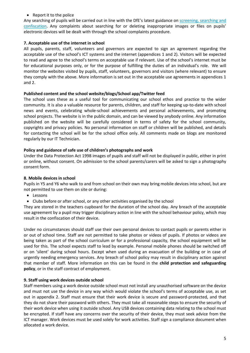#### • Report it to the police

Any searching of pupils will be carried out in line with the DfE's latest guidance on [screening, searching and](https://www.gov.uk/government/publications/searching-screening-and-confiscation)  [confiscation.](https://www.gov.uk/government/publications/searching-screening-and-confiscation) Any complaints about searching for or deleting inappropriate images or files on pupils' electronic devices will be dealt with through the school complaints procedure.

#### **7. Acceptable use of the internet in school**

All pupils, parents, staff, volunteers and governors are expected to sign an agreement regarding the acceptable use of the school's ICT systems and the internet (appendices 1 and 2). Visitors will be expected to read and agree to the school's terms on acceptable use if relevant. Use of the school's internet must be for educational purposes only, or for the purpose of fulfilling the duties of an individual's role. We will monitor the websites visited by pupils, staff, volunteers, governors and visitors (where relevant) to ensure they comply with the above. More information is set out in the acceptable use agreements in appendices 1 and 2.

#### **Published content and the school website/blogs/School app/Twitter feed**

The school uses these as a useful tool for communicating our school ethos and practice to the wider community. It is also a valuable resource for parents, children, and staff for keeping up-to-date with school news and events, celebrating whole-school achievements and personal achievements, and promoting school projects. The website is in the public domain, and can be viewed by anybody online. Any information published on the website will be carefully considered in terms of safety for the school community, copyrights and privacy policies. No personal information on staff or children will be published, and details for contacting the school will be for the school office only. All comments made on blogs are monitored regularly by our IT Technician.

#### **Policy and guidance of safe use of children's photographs and work**

Under the Data Protection Act 1998 images of pupils and staff will not be displayed in public, either in print or online, without consent. On admission to the school parents/carers will be asked to sign a photography consent form.

#### **8. Mobile devices in school**

Pupils in Y5 and Y6 who walk to and from school on their own may bring mobile devices into school, but are not permitted to use them on site or during:

- Lessons
- Clubs before or after school, or any other activities organised by the school

They are stored in the teachers cupboard for the duration of the school day. Any breach of the acceptable use agreement by a pupil may trigger disciplinary action in line with the school behaviour policy, which may result in the confiscation of their device.

Under no circumstances should staff use their own personal devices to contact pupils or parents either in or out of school time. Staff are not permitted to take photos or videos of pupils. If photos or videos are being taken as part of the school curriculum or for a professional capacity, the school equipment will be used for this. The school expects staff to lead by example. Personal mobile phones should be switched off or on 'silent' during school hours. Except when used during an evacuation of the building or in case of urgently needing emergency services. Any breach of school policy may result in disciplinary action against that member of staff. More information on this can be found in the **child protection and safeguarding policy**, or in the staff contract of employment.

#### **9. Staff using work devices outside school**

Staff members using a work device outside school must not install any unauthorised software on the device and must not use the device in any way which would violate the school's terms of acceptable use, as set out in appendix 2. Staff must ensure that their work device is secure and password-protected, and that they do not share their password with others. They must take all reasonable steps to ensure the security of their work device when using it outside school. Any USB devices containing data relating to the school must be encrypted. If staff have any concerns over the security of their device, they must seek advice from the ICT manager. Work devices must be used solely for work activities. Staff sign a compliance document when allocated a work device.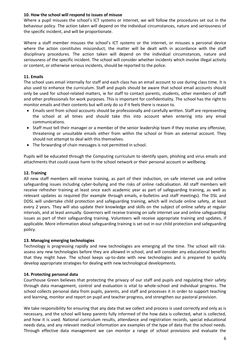#### **10. How the school will respond to issues of misuse**

Where a pupil misuses the school's ICT systems or internet, we will follow the procedures set out in the behaviour policy. The action taken will depend on the individual circumstances, nature and seriousness of the specific incident, and will be proportionate.

Where a staff member misuses the school's ICT systems or the internet, or misuses a personal device where the action constitutes misconduct, the matter will be dealt with in accordance with the staff disciplinary procedures. The action taken will depend on the individual circumstances, nature and seriousness of the specific incident. The school will consider whether incidents which involve illegal activity or content, or otherwise serious incidents, should be reported to the police.

#### **11. Emails**

The school uses email internally for staff and each class has an email account to use during class time. It is also used to enhance the curriculum. Staff and pupils should be aware that school email accounts should only be used for school-related matters, ie for staff to contact parents, students, other members of staff and other professionals for work purposes. This is important for confidentiality. The school has the right to monitor emails and their contents but will only do so if it feels there is reason to.

- Emails sent from school accounts should be professionally and carefully written. Staff are representing the school at all times and should take this into account when entering into any email communications.
- Staff must tell their manager or a member of the senior leadership team if they receive any offensive, threatening or unsuitable emails either from within the school or from an external account. They should not attempt to deal with this themselves.
- The forwarding of chain messages is not permitted in school.

Pupils will be educated through the Computing curriculum to identify spam, phishing and virus emails and attachments that could cause harm to the school network or their personal account or wellbeing.

#### **12. Training**

All new staff members will receive training, as part of their induction, on safe internet use and online safeguarding issues including cyber-bullying and the risks of online radicalisation. All staff members will receive refresher training at least once each academic year as part of safeguarding training, as well as relevant updates as required (for example through emails, e-bulletins and staff meetings). The DSL and DDSL will undertake child protection and safeguarding training, which will include online safety, at least every 2 years. They will also update their knowledge and skills on the subject of online safety at regular intervals, and at least annually. Governors will receive training on safe internet use and online safeguarding issues as part of their safeguarding training. Volunteers will receive appropriate training and updates, if applicable. More information about safeguarding training is set out in our child protection and safeguarding policy.

#### **13. Managing emerging technologies**

Technology is progressing rapidly and new technologies are emerging all the time. The school will riskassess any new technologies before they are allowed in school, and will consider any educational benefits that they might have. The school keeps up-to-date with new technologies and is prepared to quickly develop appropriate strategies for dealing with new technological developments.

#### **14. Protecting personal data**

Courthouse Green believes that protecting the privacy of our staff and pupils and regulating their safety through data management, control and evaluation is vital to whole-school and individual progress. The school collects personal data from pupils, parents, and staff and processes it in order to support teaching and learning, monitor and report on pupil and teacher progress, and strengthen our pastoral provision.

We take responsibility for ensuring that any data that we collect and process is used correctly and only as is necessary, and the school will keep parents fully informed of the how data is collected, what is collected, and how it is used. National curriculum results, attendance and registration records, special educational needs data, and any relevant medical information are examples of the type of data that the school needs. Through effective data management we can monitor a range of school provisions and evaluate the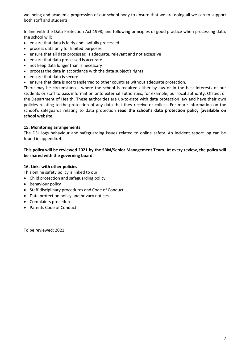wellbeing and academic progression of our school body to ensure that we are doing all we can to support both staff and students.

In line with the Data Protection Act 1998, and following principles of good practice when processing data, the school will:

- ensure that data is fairly and lawfully processed
- process data only for limited purposes
- ensure that all data processed is adequate, relevant and not excessive
- ensure that data processed is accurate
- not keep data longer than is necessary
- process the data in accordance with the data subject's rights
- ensure that data is secure
- ensure that data is not transferred to other countries without adequate protection.

There may be circumstances where the school is required either by law or in the best interests of our students or staff to pass information onto external authorities; for example, our local authority, Ofsted, or the Department of Health. These authorities are up-to-date with data protection law and have their own policies relating to the protection of any data that they receive or collect. For more information on the school's safeguards relating to data protection **read the school's data protection policy (available on school website**

#### **15. Monitoring arrangements**

The DSL logs behaviour and safeguarding issues related to online safety. An incident report log can be found in appendix 4.

#### **This policy will be reviewed 2021 by the SBM/Senior Management Team. At every review, the policy will be shared with the governing board.**

#### **16. Links with other policies**

This online safety policy is linked to our:

- Child protection and safeguarding policy
- Behaviour policy
- Staff disciplinary procedures and Code of Conduct
- Data protection policy and privacy notices
- Complaints procedure
- Parents Code of Conduct

To be reviewed: 2021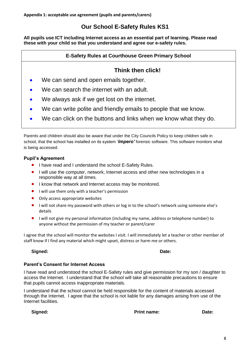**Appendix 1: acceptable use agreement (pupils and parents/carers)**

## **Our School E-Safety Rules KS1**

**All pupils use ICT including Internet access as an essential part of learning. Please read these with your child so that you understand and agree our e-safety rules.**

### **E-Safety Rules at Courthouse Green Primary School**

## **Think then click!**

- We can send and open emails together.
- We can search the internet with an adult.
- We always ask if we get lost on the internet.
- We can write polite and friendly emails to people that we know.
- We can click on the buttons and links when we know what they do.

Parents and children should also be aware that under the City Councils Policy to keep children safe in school, that the school has installed on its system '*Impero'* forensic software. This software monitors what is being accessed.

#### **Pupil's Agreement**

- I have read and I understand the school E-Safety Rules.
- I will use the computer, network, Internet access and other new technologies in a responsible way at all times.
- **I** know that network and Internet access may be monitored.
- $\bullet$  I will use them only with a teacher's permission
- Only access appropriate websites
- I will not share my password with others or log in to the school's network using someone else's details
- I will not give my personal information (including my name, address or telephone number) to anyone without the permission of my teacher or parent/carer

I agree that the school will monitor the websites I visit. I will immediately let a teacher or other member of staff know if I find any material which might upset, distress or harm me or others.

#### Signed: **Date:** Date: **Date: Date: Date: Date: Date: Date: Date: Date: Date: Date: Date: Date: Date: Date: Date: Date: Date: Date: Date: Date: Date: Date: Date: Date: Date:**

#### **Parent's Consent for Internet Access**

I have read and understood the school E-Safety rules and give permission for my son / daughter to access the Internet. I understand that the school will take all reasonable precautions to ensure that pupils cannot access inappropriate materials.

I understand that the school cannot be held responsible for the content of materials accessed through the Internet. I agree that the school is not liable for any damages arising from use of the Internet facilities.

**Signed: Print name: Date:**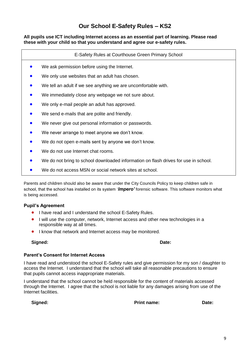## **Our School E-Safety Rules – KS2**

#### **All pupils use ICT including Internet access as an essential part of learning. Please read these with your child so that you understand and agree our e-safety rules.**

E-Safety Rules at Courthouse Green Primary School

- We ask permission before using the Internet.
- We only use websites that an adult has chosen.
- We tell an adult if we see anything we are uncomfortable with.
- We immediately close any webpage we not sure about.
- We only e-mail people an adult has approved.
- We send e-mails that are polite and friendly.
- We never give out personal information or passwords.
- We never arrange to meet anyone we don't know.
- We do not open e-mails sent by anyone we don't know.
- We do not use Internet chat rooms.
- We do not bring to school downloaded information on flash drives for use in school.
- We do not access MSN or social network sites at school.

Parents and children should also be aware that under the City Councils Policy to keep children safe in school, that the school has installed on its system '*Impero'* forensic software. This software monitors what is being accessed.

#### **Pupil's Agreement**

- I have read and I understand the school E-Safety Rules.
- I will use the computer, network, Internet access and other new technologies in a responsible way at all times.
- **I** know that network and Internet access may be monitored.

#### Signed: **Date:** Date: **Date: Date: Date: Date: Date: Date: Date: Date: Date: Date: Date: Date: Date: Date: Date: Date: Date: Date: Date: Date: Date: Date: Date: Date: Date:**

#### **Parent's Consent for Internet Access**

I have read and understood the school E-Safety rules and give permission for my son / daughter to access the Internet. I understand that the school will take all reasonable precautions to ensure that pupils cannot access inappropriate materials.

I understand that the school cannot be held responsible for the content of materials accessed through the Internet. I agree that the school is not liable for any damages arising from use of the Internet facilities.

**Signed: Print name: Date:**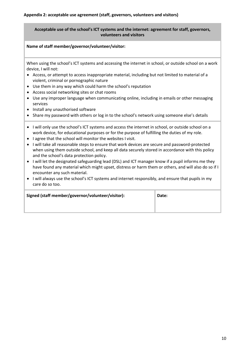#### **Acceptable use of the school's ICT systems and the internet: agreement for staff, governors, volunteers and visitors**

#### **Name of staff member/governor/volunteer/visitor:**

When using the school's ICT systems and accessing the internet in school, or outside school on a work device, I will not:

- Access, or attempt to access inappropriate material, including but not limited to material of a violent, criminal or pornographic nature
- Use them in any way which could harm the school's reputation
- Access social networking sites or chat rooms
- Use any improper language when communicating online, including in emails or other messaging services
- Install any unauthorised software
- Share my password with others or log in to the school's network using someone else's details
- I will only use the school's ICT systems and access the internet in school, or outside school on a work device, for educational purposes or for the purpose of fulfilling the duties of my role.
- I agree that the school will monitor the websites I visit.
- I will take all reasonable steps to ensure that work devices are secure and password-protected when using them outside school, and keep all data securely stored in accordance with this policy and the school's data protection policy.
- I will let the designated safeguarding lead (DSL) and ICT manager know if a pupil informs me they have found any material which might upset, distress or harm them or others, and will also do so if I encounter any such material.
- I will always use the school's ICT systems and internet responsibly, and ensure that pupils in my care do so too.

| Signed (staff member/governor/volunteer/visitor): | Date: |
|---------------------------------------------------|-------|
|                                                   |       |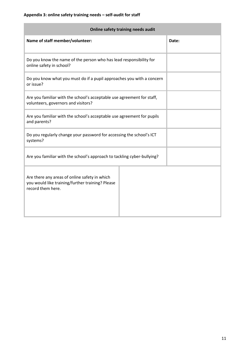**The Company** 

| Online safety training needs audit                                                                                     |       |  |  |  |  |
|------------------------------------------------------------------------------------------------------------------------|-------|--|--|--|--|
| Name of staff member/volunteer:                                                                                        | Date: |  |  |  |  |
| Do you know the name of the person who has lead responsibility for<br>online safety in school?                         |       |  |  |  |  |
| Do you know what you must do if a pupil approaches you with a concern<br>or issue?                                     |       |  |  |  |  |
| Are you familiar with the school's acceptable use agreement for staff,<br>volunteers, governors and visitors?          |       |  |  |  |  |
| Are you familiar with the school's acceptable use agreement for pupils<br>and parents?                                 |       |  |  |  |  |
| Do you regularly change your password for accessing the school's ICT<br>systems?                                       |       |  |  |  |  |
| Are you familiar with the school's approach to tackling cyber-bullying?                                                |       |  |  |  |  |
| Are there any areas of online safety in which<br>you would like training/further training? Please<br>record them here. |       |  |  |  |  |